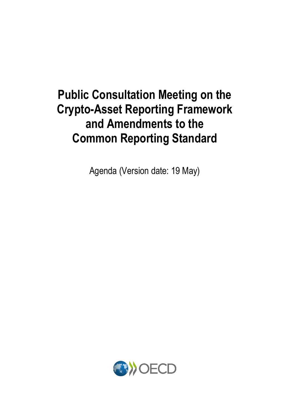# **Public Consultation Meeting on the Crypto-Asset Reporting Framework and Amendments to the Common Reporting Standard**

Agenda (Version date: 19 May)

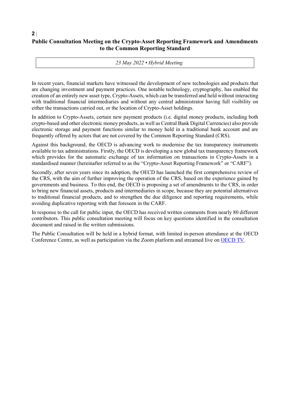## **Public Consultation Meeting on the Crypto-Asset Reporting Framework and Amendments to the Common Reporting Standard**

**2** |

*23 May 2022 • Hybrid Meeting* 

In recent years, financial markets have witnessed the development of new technologies and products that are changing investment and payment practices. One notable technology, cryptography, has enabled the creation of an entirely new asset type, Crypto-Assets, which can be transferred and held without interacting with traditional financial intermediaries and without any central administrator having full visibility on either the transactions carried out, or the location of Crypto-Asset holdings.

In addition to Crypto-Assets, certain new payment products (i.e. digital money products, including both crypto-based and other electronic money products, as well as Central Bank Digital Currencies) also provide electronic storage and payment functions similar to money held in a traditional bank account and are frequently offered by actors that are not covered by the Common Reporting Standard (CRS).

Against this background, the OECD is advancing work to modernise the tax transparency instruments available to tax administrations. Firstly, the OECD is developing a new global tax transparency framework which provides for the automatic exchange of tax information on transactions in Crypto-Assets in a standardised manner (hereinafter referred to as the "Crypto-Asset Reporting Framework" or "CARF").

Secondly, after seven years since its adoption, the OECD has launched the first comprehensive review of the CRS, with the aim of further improving the operation of the CRS, based on the experience gained by governments and business. To this end, the OECD is proposing a set of amendments to the CRS, in order to bring new financial assets, products and intermediaries in scope, because they are potential alternatives to traditional financial products, and to strengthen the due diligence and reporting requirements, while avoiding duplicative reporting with that foreseen in the CARF.

In response to the call for public input, the OECD has received written comments from nearly 80 different contributors. This public consultation meeting will focus on key questions identified in the consultation document and raised in the written submissions.

The Public Consultation will be held in a hybrid format, with limited in-person attendance at the OECD Conference Centre, as well as participation via the Zoom platform and streamed live on [OECD TV.](https://oecdtv.webtv-solution.com/)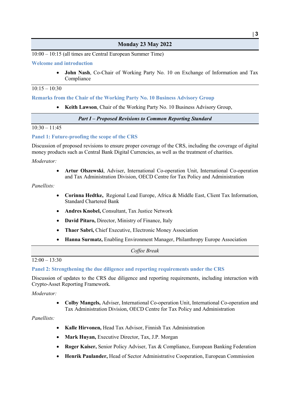## **Monday 23 May 2022**

10:00 – 10:15 (all times are Central European Summer Time)

#### **Welcome and introduction**

• **John Nash**, Co-Chair of Working Party No. 10 on Exchange of Information and Tax Compliance

## $10:15 - 10:30$

#### **Remarks from the Chair of the Working Party No. 10 Business Advisory Group**

• **Keith Lawson**, Chair of the Working Party No. 10 Business Advisory Group,

*Part I – Proposed Revisions to Common Reporting Standard* 

#### $10:30 - 11:45$

#### **Panel 1: Future-proofing the scope of the CRS**

Discussion of proposed revisions to ensure proper coverage of the CRS, including the coverage of digital money products such as Central Bank Digital Currencies, as well as the treatment of charities.

*Moderator:* 

• **Artur Olszewski**, Adviser, International Co-operation Unit, International Co-operation and Tax Administration Division, OECD Centre for Tax Policy and Administration

#### *Panellists:*

- **Corinna Hedtke,** Regional Lead Europe, Africa & Middle East, Client Tax Information, Standard Chartered Bank
- **Andres Knobel,** Consultant, Tax Justice Network
- **David Pitaro,** Director, Ministry of Finance, Italy
- **Thaer Sabri,** Chief Executive, Electronic Money Association
- **Hanna Surmatz,** Enabling Environment Manager, Philanthropy Europe Association

*Coffee Break*  $12:00 - 13:30$ 

## **Panel 2: Strengthening the due diligence and reporting requirements under the CRS**

Discussion of updates to the CRS due diligence and reporting requirements, including interaction with Crypto-Asset Reporting Framework.

*Moderator:* 

• **Colby Mangels,** Adviser, International Co-operation Unit, International Co-operation and Tax Administration Division, OECD Centre for Tax Policy and Administration

#### *Panellists:*

- **Kalle Hirvonen,** Head Tax Advisor, Finnish Tax Administration
- **Mark Huyan,** Executive Director, Tax, J.P. Morgan
- **Roger Kaiser,** Senior Policy Adviser, Tax & Compliance, European Banking Federation
- **Henrik Paulander,** Head of Sector Administrative Cooperation, European Commission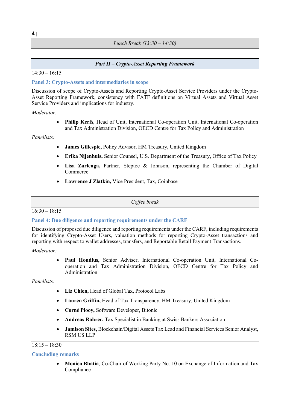*Lunch Break (13:30 – 14:30)*

## *Part II – Crypto-Asset Reporting Framework*

 $14:30 - 16:15$ 

## **Panel 3: Crypto-Assets and intermediaries in scope**

Discussion of scope of Crypto-Assets and Reporting Crypto-Asset Service Providers under the Crypto-Asset Reporting Framework, consistency with FATF definitions on Virtual Assets and Virtual Asset Service Providers and implications for industry.

### *Moderator:*

• **Philip Kerfs**, Head of Unit, International Co-operation Unit, International Co-operation and Tax Administration Division, OECD Centre for Tax Policy and Administration

### *Panellists:*

- **James Gillespie,** Policy Advisor, HM Treasury, United Kingdom
- **Erika Nijenhuis,** Senior Counsel, U.S. Department of the Treasury, Office of Tax Policy
- **Lisa Zarlenga,** Partner, Steptoe & Johnson, representing the Chamber of Digital Commerce
- **Lawrence J Zlatkin,** Vice President, Tax, Coinbase

### *Coffee break*

### $16:30 - 18:15$

### **Panel 4: Due diligence and reporting requirements under the CARF**

Discussion of proposed due diligence and reporting requirements under the CARF, including requirements for identifying Crypto-Asset Users, valuation methods for reporting Crypto-Asset transactions and reporting with respect to wallet addresses, transfers, and Reportable Retail Payment Transactions.

### *Moderator:*

• **Paul Hondius,** Senior Adviser, International Co-operation Unit, International Cooperation and Tax Administration Division, OECD Centre for Tax Policy and Administration

### *Panellists:*

- **Liz Chien,** Head of Global Tax, Protocol Labs
- **Lauren Griffin,** Head of Tax Transparency, HM Treasury, United Kingdom
- **Corné Plooy,** Software Developer, Bitonic
- **Andreas Rohrer,** Tax Specialist in Banking at Swiss Bankers Association
- **Jamison Sites,** Blockchain/Digital Assets Tax Lead and Financial Services Senior Analyst, RSM US LLP

### $18:15 - 18:30$

### **Concluding remarks**

• **Monica Bhatia**, Co-Chair of Working Party No. 10 on Exchange of Information and Tax Compliance